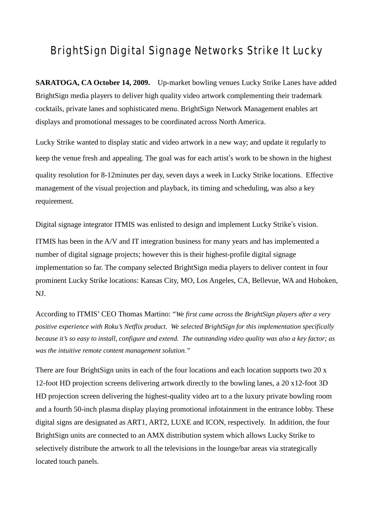## BrightSign Digital Signage Networks Strike It Lucky

**SARATOGA, CA October 14, 2009.** Up-market bowling venues Lucky Strike Lanes have added BrightSign media players to deliver high quality video artwork complementing their trademark cocktails, private lanes and sophisticated menu. BrightSign Network Management enables art displays and promotional messages to be coordinated across North America.

Lucky Strike wanted to display static and video artwork in a new way; and update it regularly to keep the venue fresh and appealing. The goal was for each artist's work to be shown in the highest quality resolution for 8-12minutes per day, seven days a week in Lucky Strike locations. Effective management of the visual projection and playback, its timing and scheduling, was also a key requirement.

Digital signage integrator ITMIS was enlisted to design and implement Lucky Strike's vision. ITMIS has been in the A/V and IT integration business for many years and has implemented a number of digital signage projects; however this is their highest-profile digital signage implementation so far. The company selected BrightSign media players to deliver content in four prominent Lucky Strike locations: Kansas City, MO, Los Angeles, CA, Bellevue, WA and Hoboken,

NJ.

According to ITMIS' CEO Thomas Martino: "*We first came across the BrightSign players after a very positive experience with Roku's Netflix product. We selected BrightSign for this implementation specifically because it's so easy to install, configure and extend. The outstanding video quality was also a key factor; as was the intuitive remote content management solution."*

There are four BrightSign units in each of the four locations and each location supports two 20 x 12-foot HD projection screens delivering artwork directly to the bowling lanes, a 20 x12-foot 3D HD projection screen delivering the highest-quality video art to a the luxury private bowling room and a fourth 50-inch plasma display playing promotional infotainment in the entrance lobby. These digital signs are designated as ART1, ART2, LUXE and ICON, respectively. In addition, the four BrightSign units are connected to an AMX distribution system which allows Lucky Strike to selectively distribute the artwork to all the televisions in the lounge/bar areas via strategically located touch panels.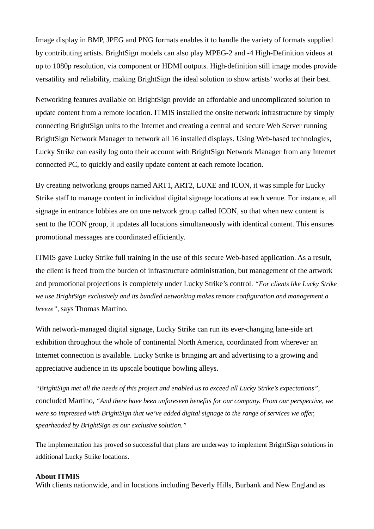Image display in BMP, JPEG and PNG formats enables it to handle the variety of formats supplied by contributing artists. BrightSign models can also play MPEG-2 and -4 High-Definition videos at up to 1080p resolution, via component or HDMI outputs. High-definition still image modes provide versatility and reliability, making BrightSign the ideal solution to show artists' works at their best.

Networking features available on BrightSign provide an affordable and uncomplicated solution to update content from a remote location. ITMIS installed the onsite network infrastructure by simply connecting BrightSign units to the Internet and creating a central and secure Web Server running BrightSign Network Manager to network all 16 installed displays. Using Web-based technologies, Lucky Strike can easily log onto their account with BrightSign Network Manager from any Internet connected PC, to quickly and easily update content at each remote location.

By creating networking groups named ART1, ART2, LUXE and ICON, it was simple for Lucky Strike staff to manage content in individual digital signage locations at each venue. For instance, all signage in entrance lobbies are on one network group called ICON, so that when new content is sent to the ICON group, it updates all locations simultaneously with identical content. This ensures promotional messages are coordinated efficiently.

ITMIS gave Lucky Strike full training in the use of this secure Web-based application. As a result, the client is freed from the burden of infrastructure administration, but management of the artwork and promotional projections is completely under Lucky Strike's control. *"For clients like Lucky Strike we use BrightSign exclusively and its bundled networking makes remote configuration and management a breeze",* says Thomas Martino.

With network-managed digital signage, Lucky Strike can run its ever-changing lane-side art exhibition throughout the whole of continental North America, coordinated from wherever an Internet connection is available. Lucky Strike is bringing art and advertising to a growing and appreciative audience in its upscale boutique bowling alleys.

*"BrightSign met all the needs of this project and enabled us to exceed all Lucky Strike's expectations",* concluded Martino*, "And there have been unforeseen benefits for our company. From our perspective, we were so impressed with BrightSign that we've added digital signage to the range of services we offer, spearheaded by BrightSign as our exclusive solution."*

The implementation has proved so successful that plans are underway to implement BrightSign solutions in additional Lucky Strike locations.

## **About ITMIS**

With clients nationwide, and in locations including Beverly Hills, Burbank and New England as